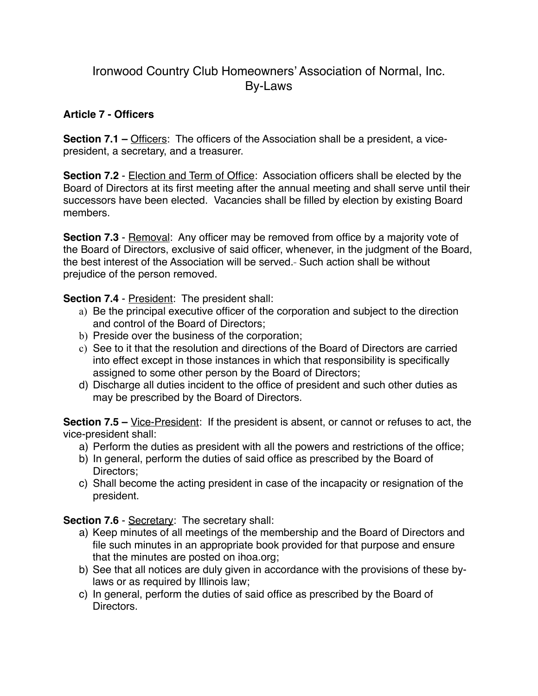## Ironwood Country Club Homeowners' Association of Normal, Inc. By-Laws

## **Article 7 - Officers**

**Section 7.1 –** Officers: The officers of the Association shall be a president, a vicepresident, a secretary, and a treasurer.

**Section 7.2** - Election and Term of Office: Association officers shall be elected by the Board of Directors at its first meeting after the annual meeting and shall serve until their successors have been elected. Vacancies shall be filled by election by existing Board members.

**Section 7.3** - Removal: Any officer may be removed from office by a majority vote of the Board of Directors, exclusive of said officer, whenever, in the judgment of the Board, the best interest of the Association will be served.- Such action shall be without prejudice of the person removed.

**Section 7.4 - President: The president shall:** 

- a) Be the principal executive officer of the corporation and subject to the direction and control of the Board of Directors;
- b) Preside over the business of the corporation;
- c) See to it that the resolution and directions of the Board of Directors are carried into effect except in those instances in which that responsibility is specifically assigned to some other person by the Board of Directors;
- d) Discharge all duties incident to the office of president and such other duties as may be prescribed by the Board of Directors.

**Section 7.5 –** Vice-President: If the president is absent, or cannot or refuses to act, the vice-president shall:

- a) Perform the duties as president with all the powers and restrictions of the office;
- b) In general, perform the duties of said office as prescribed by the Board of Directors;
- c) Shall become the acting president in case of the incapacity or resignation of the president.

**Section 7.6** - Secretary: The secretary shall:

- a) Keep minutes of all meetings of the membership and the Board of Directors and file such minutes in an appropriate book provided for that purpose and ensure that the minutes are posted on ihoa.org;
- b) See that all notices are duly given in accordance with the provisions of these bylaws or as required by Illinois law;
- c) In general, perform the duties of said office as prescribed by the Board of Directors.